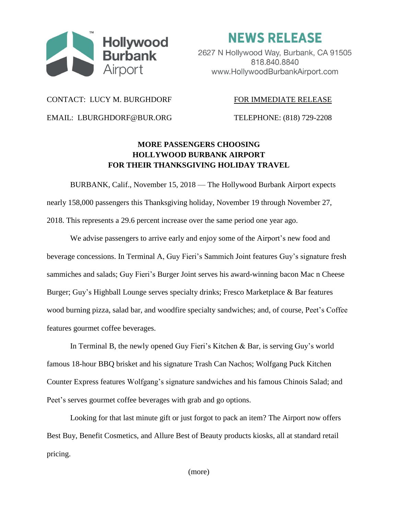

**NEWS RELEASE** 

2627 N Hollywood Way, Burbank, CA 91505 818.840.8840 www.HollywoodBurbankAirport.com

## CONTACT: LUCY M. BURGHDORF FOR IMMEDIATE RELEASE

EMAIL: LBURGHDORF@BUR.ORG TELEPHONE: (818) 729-2208

## **MORE PASSENGERS CHOOSING HOLLYWOOD BURBANK AIRPORT FOR THEIR THANKSGIVING HOLIDAY TRAVEL**

BURBANK, Calif., November 15, 2018 — The Hollywood Burbank Airport expects nearly 158,000 passengers this Thanksgiving holiday, November 19 through November 27, 2018. This represents a 29.6 percent increase over the same period one year ago.

We advise passengers to arrive early and enjoy some of the Airport's new food and beverage concessions. In Terminal A, Guy Fieri's Sammich Joint features Guy's signature fresh sammiches and salads; Guy Fieri's Burger Joint serves his award-winning bacon Mac n Cheese Burger; Guy's Highball Lounge serves specialty drinks; Fresco Marketplace & Bar features wood burning pizza, salad bar, and woodfire specialty sandwiches; and, of course, Peet's Coffee features gourmet coffee beverages.

In Terminal B, the newly opened Guy Fieri's Kitchen & Bar, is serving Guy's world famous 18-hour BBQ brisket and his signature Trash Can Nachos; Wolfgang Puck Kitchen Counter Express features Wolfgang's signature sandwiches and his famous Chinois Salad; and Peet's serves gourmet coffee beverages with grab and go options.

Looking for that last minute gift or just forgot to pack an item? The Airport now offers Best Buy, Benefit Cosmetics, and Allure Best of Beauty products kiosks, all at standard retail pricing.